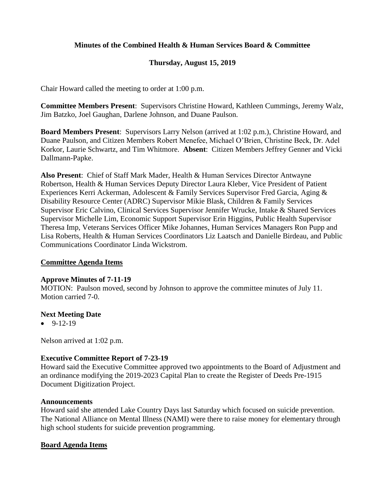# **Minutes of the Combined Health & Human Services Board & Committee**

# **Thursday, August 15, 2019**

Chair Howard called the meeting to order at 1:00 p.m.

**Committee Members Present**: Supervisors Christine Howard, Kathleen Cummings, Jeremy Walz, Jim Batzko, Joel Gaughan, Darlene Johnson, and Duane Paulson.

**Board Members Present**: Supervisors Larry Nelson (arrived at 1:02 p.m.), Christine Howard, and Duane Paulson, and Citizen Members Robert Menefee, Michael O'Brien, Christine Beck, Dr. Adel Korkor, Laurie Schwartz, and Tim Whitmore. **Absent**: Citizen Members Jeffrey Genner and Vicki Dallmann-Papke.

**Also Present**: Chief of Staff Mark Mader, Health & Human Services Director Antwayne Robertson, Health & Human Services Deputy Director Laura Kleber, Vice President of Patient Experiences Kerri Ackerman, Adolescent & Family Services Supervisor Fred Garcia, Aging & Disability Resource Center (ADRC) Supervisor Mikie Blask, Children & Family Services Supervisor Eric Calvino, Clinical Services Supervisor Jennifer Wrucke, Intake & Shared Services Supervisor Michelle Lim, Economic Support Supervisor Erin Higgins, Public Health Supervisor Theresa Imp, Veterans Services Officer Mike Johannes, Human Services Managers Ron Pupp and Lisa Roberts, Health & Human Services Coordinators Liz Laatsch and Danielle Birdeau, and Public Communications Coordinator Linda Wickstrom.

### **Committee Agenda Items**

### **Approve Minutes of 7-11-19**

MOTION: Paulson moved, second by Johnson to approve the committee minutes of July 11. Motion carried 7-0.

### **Next Meeting Date**

 $-9-12-19$ 

Nelson arrived at 1:02 p.m.

### **Executive Committee Report of 7-23-19**

Howard said the Executive Committee approved two appointments to the Board of Adjustment and an ordinance modifying the 2019-2023 Capital Plan to create the Register of Deeds Pre-1915 Document Digitization Project.

### **Announcements**

Howard said she attended Lake Country Days last Saturday which focused on suicide prevention. The National Alliance on Mental Illness (NAMI) were there to raise money for elementary through high school students for suicide prevention programming.

### **Board Agenda Items**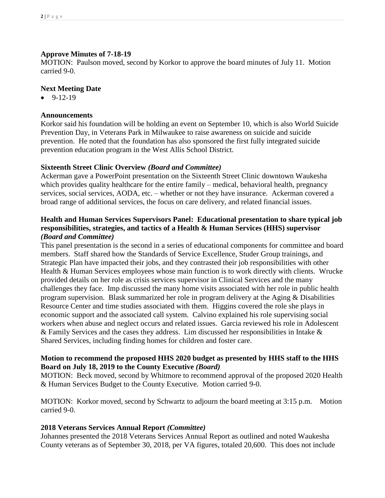# **Approve Minutes of 7-18-19**

MOTION: Paulson moved, second by Korkor to approve the board minutes of July 11. Motion carried 9-0.

## **Next Meeting Date**

 $-9-12-19$ 

### **Announcements**

Korkor said his foundation will be holding an event on September 10, which is also World Suicide Prevention Day, in Veterans Park in Milwaukee to raise awareness on suicide and suicide prevention. He noted that the foundation has also sponsored the first fully integrated suicide prevention education program in the West Allis School District.

### **Sixteenth Street Clinic Overview** *(Board and Committee)*

Ackerman gave a PowerPoint presentation on the Sixteenth Street Clinic downtown Waukesha which provides quality healthcare for the entire family – medical, behavioral health, pregnancy services, social services, AODA, etc. – whether or not they have insurance. Ackerman covered a broad range of additional services, the focus on care delivery, and related financial issues.

# **Health and Human Services Supervisors Panel: Educational presentation to share typical job responsibilities, strategies, and tactics of a Health & Human Services (HHS) supervisor**  *(Board and Committee)*

This panel presentation is the second in a series of educational components for committee and board members. Staff shared how the Standards of Service Excellence, Studer Group trainings, and Strategic Plan have impacted their jobs, and they contrasted their job responsibilities with other Health & Human Services employees whose main function is to work directly with clients. Wrucke provided details on her role as crisis services supervisor in Clinical Services and the many challenges they face. Imp discussed the many home visits associated with her role in public health program supervision. Blask summarized her role in program delivery at the Aging & Disabilities Resource Center and time studies associated with them. Higgins covered the role she plays in economic support and the associated call system. Calvino explained his role supervising social workers when abuse and neglect occurs and related issues. Garcia reviewed his role in Adolescent  $&$  Family Services and the cases they address. Lim discussed her responsibilities in Intake  $&$ Shared Services, including finding homes for children and foster care.

# **Motion to recommend the proposed HHS 2020 budget as presented by HHS staff to the HHS Board on July 18, 2019 to the County Executive** *(Board)*

MOTION: Beck moved, second by Whitmore to recommend approval of the proposed 2020 Health & Human Services Budget to the County Executive. Motion carried 9-0.

MOTION: Korkor moved, second by Schwartz to adjourn the board meeting at 3:15 p.m. Motion carried 9-0.

# **2018 Veterans Services Annual Report** *(Committee)*

Johannes presented the 2018 Veterans Services Annual Report as outlined and noted Waukesha County veterans as of September 30, 2018, per VA figures, totaled 20,600. This does not include